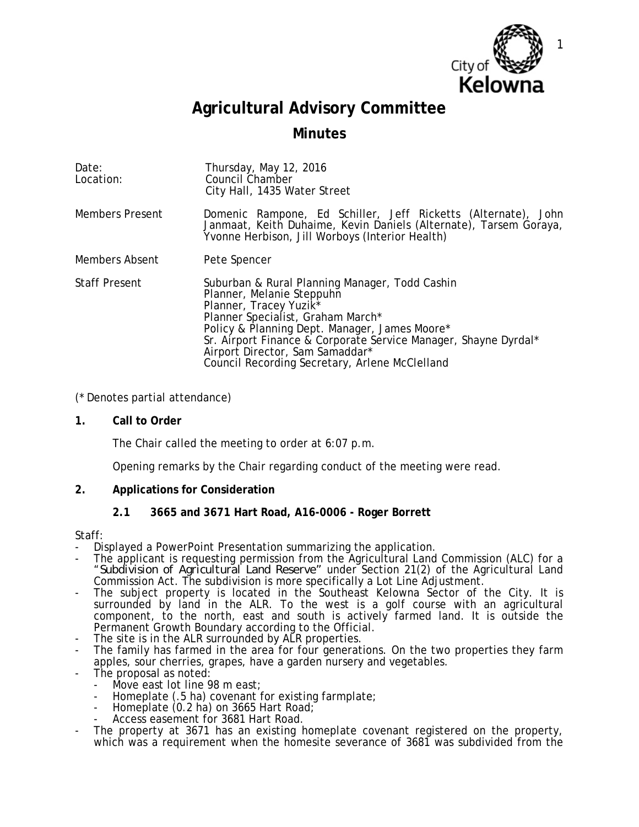

# **Agricultural Advisory Committee**

# **Minutes**

| Date:<br>Location:     | Thursday, May 12, 2016<br>Council Chamber<br>City Hall, 1435 Water Street                                                                                                                                                                                                                                                                                       |
|------------------------|-----------------------------------------------------------------------------------------------------------------------------------------------------------------------------------------------------------------------------------------------------------------------------------------------------------------------------------------------------------------|
| <b>Members Present</b> | Domenic Rampone, Ed Schiller, Jeff Ricketts (Alternate), John<br>Janmaat, Keith Duhaime, Kevin Daniels (Alternate), Tarsem Goraya,<br>Yvonne Herbison, Jill Worboys (Interior Health)                                                                                                                                                                           |
| <b>Members Absent</b>  | Pete Spencer                                                                                                                                                                                                                                                                                                                                                    |
| <b>Staff Present</b>   | Suburban & Rural Planning Manager, Todd Cashin<br>Planner, Melanie Steppuhn<br>Planner, Tracey Yuzik <sup>*</sup><br>Planner Specialist, Graham March*<br>Policy & Planning Dept. Manager, James Moore*<br>Sr. Airport Finance & Corporate Service Manager, Shayne Dyrdal*<br>Airport Director, Sam Samaddar*<br>Council Recording Secretary, Arlene McClelland |

# (\* Denotes partial attendance)

**1. Call to Order**

The Chair called the meeting to order at 6:07 p.m.

Opening remarks by the Chair regarding conduct of the meeting were read.

# **2. Applications for Consideration**

# **2.1 3665 and 3671 Hart Road, A16-0006 - Roger Borrett**

- Staff:<br>- Displayed a PowerPoint Presentation summarizing the application.
- The applicant is requesting permission from the Agricultural Land Commission (ALC) for a "*Subdivision of Agricultural Land Reserve"* under Section 21(2) of the Agricultural Land Commission Act. The subdivision is more specifically a Lot Line Adjustment.
- The subject property is located in the Southeast Kelowna Sector of the City. It is surrounded by land in the ALR. To the west is a golf course with an agricultural component, to the north, east and south is actively farmed land. It is outside the Permanent Growth Boundary according to the Official.<br>The site is in the ALR surrounded by ALR properties.
- 
- The family has farmed in the area for four generations. On the two properties they farm apples, sour cherries, grapes, have a garden nursery and vegetables.
- The proposal as noted:
	- Move east lot line 98 m east;
	- Homeplate (.5 ha) covenant for existing farmplate;<br>Homeplate (0.2 ha) on 3665 Hart Road;
	-
	- Homeplate (0.2 ha) on 3665 Hart Road; Access easement for 3681 Hart Road.
- The property at 3671 has an existing homeplate covenant registered on the property, which was a requirement when the homesite severance of 3681 was subdivided from the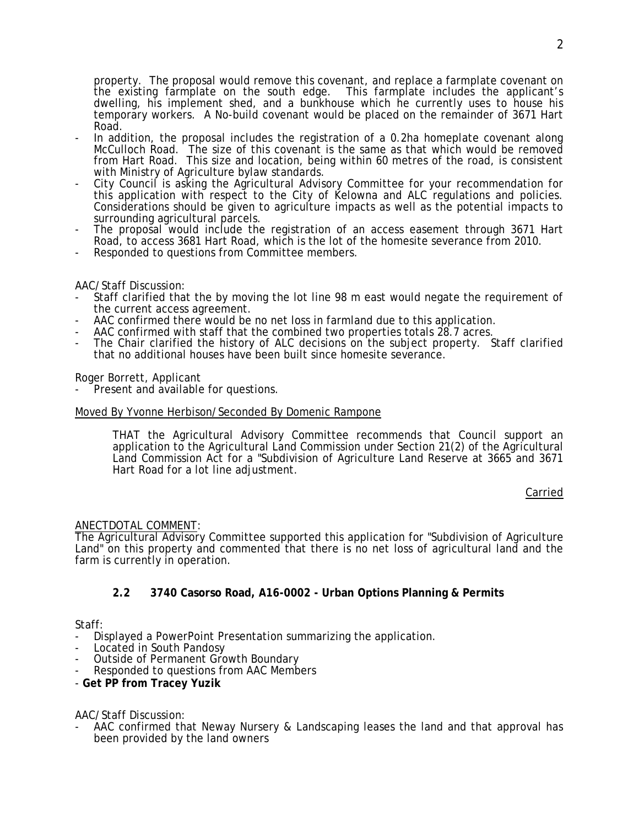property. The proposal would remove this covenant, and replace a farmplate covenant on the existing farmplate on the south edge. This farmplate includes the applicant's dwelling, his implement shed, and a bunkhouse which he currently uses to house his temporary workers. A No-build covenant would be placed on the remainder of 3671 Hart Road.

- In addition, the proposal includes the registration of a 0.2ha homeplate covenant along McCulloch Road. The size of this covenant is the same as that which would be removed from Hart Road. This size and location, being within 60 metres of the road, is consistent
- with Ministry of Agriculture bylaw standards.<br>City Council is asking the Agricultural Advisory Committee for your recommendation for this application with respect to the City of Kelowna and ALC regulations and policies. Considerations should be given to agriculture impacts as well as the potential impacts to surrounding agricultural parcels.
- The proposal would include the registration of an access easement through 3671 Hart Road, to access 3681 Hart Road, which is the lot of the homesite severance from 2010.
- Responded to questions from Committee members.

#### AAC/Staff Discussion:

- Staff clarified that the by moving the lot line 98 m east would negate the requirement of the current access agreement.
- AAC confirmed there would be no net loss in farmland due to this application.
- AAC confirmed with staff that the combined two properties totals 28.7 acres.
- The Chair clarified the history of ALC decisions on the subject property. Staff clarified that no additional houses have been built since homesite severance.

#### Roger Borrett, Applicant

Present and available for questions.

#### Moved By Yvonne Herbison/Seconded By Domenic Rampone

THAT the Agricultural Advisory Committee recommends that Council support an application to the Agricultural Land Commission under Section 21(2) of the Agricultural Land Commission Act for a "Subdivision of Agriculture Land Reserve at 3665 and 3671 Hart Road for a lot line adjustment.

Carried

#### ANECTDOTAL COMMENT:

The Agricultural Advisory Committee supported this application for "Subdivision of Agriculture Land" on this property and commented that there is no net loss of agricultural land and the farm is currently in operation.

# **2.2 3740 Casorso Road, A16-0002 - Urban Options Planning & Permits**

#### Staff:

- Displayed a PowerPoint Presentation summarizing the application.
- 
- Located in South Pandosy<br>Outside of Permanent Growth Boundary
- Responded to questions from AAC Members
- **Get PP from Tracey Yuzik**

AAC/Staff Discussion:

AAC confirmed that Neway Nursery & Landscaping leases the land and that approval has been provided by the land owners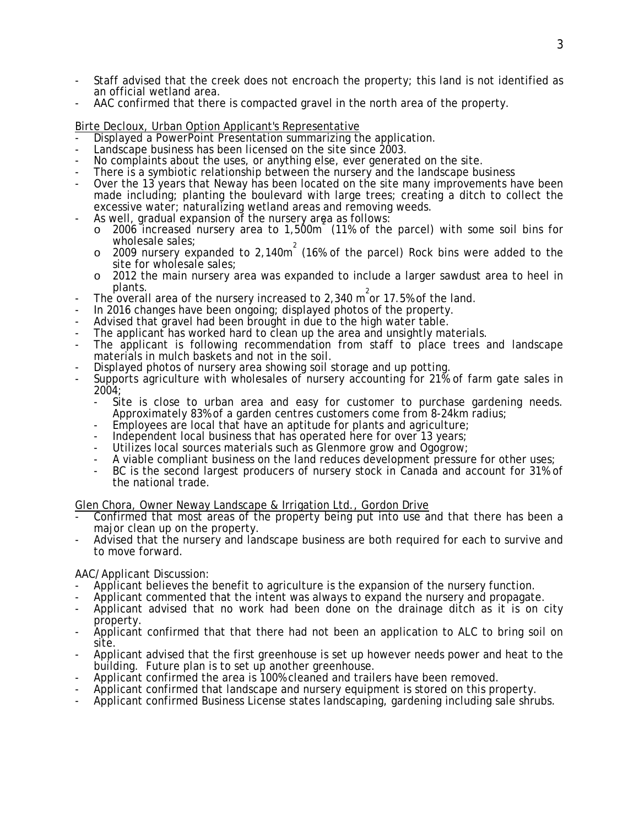- Staff advised that the creek does not encroach the property; this land is not identified as an official wetland area.
- AAC confirmed that there is compacted gravel in the north area of the property.

- Birte Decloux, Urban Option Applicant's Representative<br>- Displayed a PowerPoint Presentation summarizing the application.
- Landscape business has been licensed on the site since 2003.
- No complaints about the uses, or anything else, ever generated on the site.
- There is a symbiotic relationship between the nursery and the landscape business
- Over the 13 years that Neway has been located on the site many improvements have been made including; planting the boulevard with large trees; creating a ditch to collect the excessive water; naturalizing wetland areas and removing weeds.
- As well, gradual expansion of the nursery area as follows:
	- o 2006 increased nursery area to 1,500m (11% of the parcel) with some soil bins for wholesale sales;
	- $\circ$  2009 nursery expanded to 2,140m<sup>2</sup> (16% of the parcel) Rock bins were added to the site for wholesale sales;
	- o 2012 the main nursery area was expanded to include a larger sawdust area to heel in plants.
- **EXECUTE:**<br>The overall area of the nursery increased to 2,340 m<sup>2</sup> or 17.5% of the land.
- In 2016 changes have been ongoing; displayed photos of the property.
- Advised that gravel had been brought in due to the high water table.
- The applicant has worked hard to clean up the area and unsightly materials.
- The applicant is following recommendation from staff to place trees and landscape materials in mulch baskets and not in the soil.
- Displayed photos of nursery area showing soil storage and up potting.
- Supports agriculture with wholesales of nursery accounting for 21% of farm gate sales in 2004;
	- Site is close to urban area and easy for customer to purchase gardening needs.<br>Approximately 83% of a garden centres customers come from 8-24km radius;
	- Employees are local that have an aptitude for plants and agriculture; Independent local business that has operated here for over 13 years;
	-
	- Utilizes local sources materials such as Glenmore grow and Ogogrow;
	- A viable compliant business on the land reduces development pressure for other uses;
	- BC is the second largest producers of nursery stock in Canada and account for 31% of the national trade.

Glen Chora, Owner Neway Landscape & Irrigation Ltd., Gordon Drive

- Confirmed that most areas of the property being put into use and that there has been a major clean up on the property.
- Advised that the nursery and landscape business are both required for each to survive and to move forward.

AAC/Applicant Discussion:

- Applicant believes the benefit to agriculture is the expansion of the nursery function.
- Applicant commented that the intent was always to expand the nursery and propagate.
- Applicant advised that no work had been done on the drainage ditch as it is on city property.
- Applicant confirmed that that there had not been an application to ALC to bring soil on site.
- Applicant advised that the first greenhouse is set up however needs power and heat to the building. Future plan is to set up another greenhouse.
- Applicant confirmed the area is 100% cleaned and trailers have been removed.
- Applicant confirmed that landscape and nursery equipment is stored on this property.
- Applicant confirmed Business License states landscaping, gardening including sale shrubs.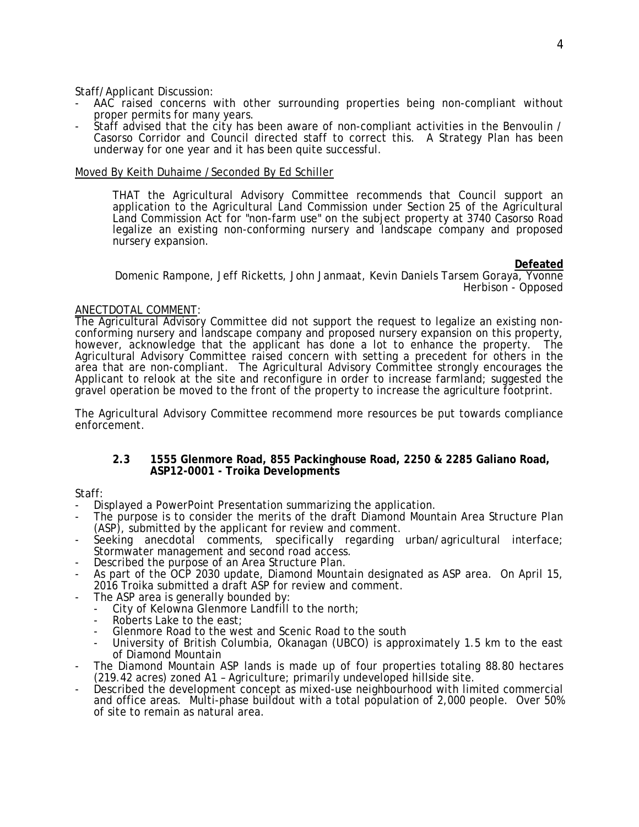Staff/Applicant Discussion:

- AAC raised concerns with other surrounding properties being non-compliant without proper permits for many years.
- Staff advised that the city has been aware of non-compliant activities in the Benvoulin / Casorso Corridor and Council directed staff to correct this. A Strategy Plan has been underway for one year and it has been quite successful.

#### Moved By Keith Duhaime /Seconded By Ed Schiller

THAT the Agricultural Advisory Committee recommends that Council support an application to the Agricultural Land Commission under Section 25 of the Agricultural Land Commission Act for "non-farm use" on the subject property at 3740 Casorso Road legalize an existing non-conforming nursery and landscape company and proposed nursery expansion.

#### **Defeated**

Domenic Rampone, Jeff Ricketts, John Janmaat, Kevin Daniels Tarsem Goraya, Yvonne Herbison - Opposed

### ANECTDOTAL COMMENT:

The Agricultural Advisory Committee did not support the request to legalize an existing nonconforming nursery and landscape company and proposed nursery expansion on this property, however, acknowledge that the applicant has done a lot to enhance the property. The Agricultural Advisory Committee raised concern with setting a precedent for others in the area that are non-compliant. The Agricultural Advisory Committee strongly encourages the Applicant to relook at the site and reconfigure in order to increase farmland; suggested the gravel operation be moved to the front of the property to increase the agriculture footprint.

The Agricultural Advisory Committee recommend more resources be put towards compliance enforcement.

#### **2.3 1555 Glenmore Road, 855 Packinghouse Road, 2250 & 2285 Galiano Road, ASP12-0001 - Troika Developments**

Staff:

- Displayed a PowerPoint Presentation summarizing the application.
- The purpose is to consider the merits of the draft Diamond Mountain Area Structure Plan (ASP), submitted by the applicant for review and comment.
- Seeking anecdotal comments, specifically regarding urban/agricultural interface; Stormwater management and second road access.
- Described the purpose of an Area Structure Plan.
- As part of the OCP 2030 update, Diamond Mountain designated as ASP area. On April 15, 2016 Troika submitted a draft ASP for review and comment.<br>The ASP area is generally bounded by:
- - City of Kelowna Glenmore Landfill to the north;<br>Roberts Lake to the east:
	-
	- Glenmore Road to the west and Scenic Road to the south
	- University of British Columbia, Okanagan (UBCO) is approximately 1.5 km to the east of Diamond Mountain
- The Diamond Mountain ASP lands is made up of four properties totaling 88.80 hectares (219.42 acres) zoned A1 – Agriculture; primarily undeveloped hillside site.
- Described the development concept as mixed-use neighbourhood with limited commercial and office areas. Multi-phase buildout with a total population of 2,000 people. Over 50% of site to remain as natural area.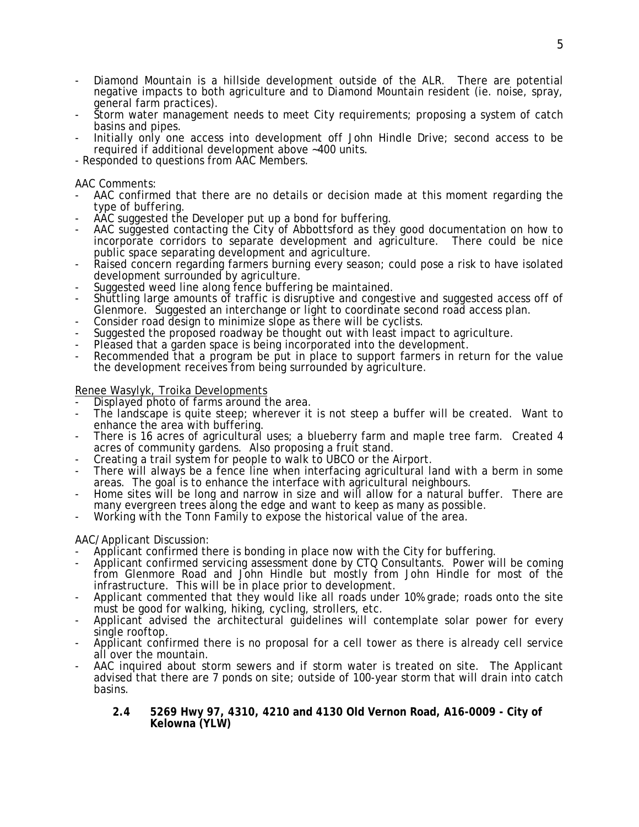- Diamond Mountain is a hillside development outside of the ALR. There are potential negative impacts to both agriculture and to Diamond Mountain resident (ie. noise, spray, general farm practices).
- Storm water management needs to meet City requirements; proposing a system of catch basins and pipes.
- Initially only one access into development off John Hindle Drive; second access to be required if additional development above ~400 units.
- Responded to questions from AAC Members.

#### AAC Comments:

- AAC confirmed that there are no details or decision made at this moment regarding the type of buffering.
- AAC suggested the Developer put up a bond for buffering.
- AAC suggested contacting the City of Abbottsford as they good documentation on how to incorporate corridors to separate development and agriculture. There could be nice public space separating development and agriculture.
- Raised concern regarding farmers burning every season; could pose a risk to have isolated development surrounded by agriculture.
- Suggested weed line along fence buffering be maintained.
- Shuttling large amounts of traffic is disruptive and congestive and suggested access off of Glenmore. Suggested an interchange or light to coordinate second road access plan.<br>Consider road design to minimize slope as there will be cyclists.<br>Suggested the proposed roadway be thought out with least impact to agricu
- 
- 
- Pleased that a garden space is being incorporated into the development.
- Recommended that a program be put in place to support farmers in return for the value the development receives from being surrounded by agriculture.

# Renee Wasylyk, Troika Developments

- Displayed photo of farms around the area.
- The landscape is quite steep; wherever it is not steep a buffer will be created. Want to enhance the area with buffering.
- There is 16 acres of agricultural uses; a blueberry farm and maple tree farm. Created 4 acres of community gardens. Also proposing a fruit stand.<br>Creating a trail system for people to walk to UBCO or the Airport.
- 
- There will always be a fence line when interfacing agricultural land with a berm in some areas. The goal is to enhance the interface with agricultural neighbours.
- Home sites will be long and narrow in size and will allow for a natural buffer. There are many evergreen trees along the edge and want to keep as many as possible.
- Working with the Tonn Family to expose the historical value of the area.

# AAC/Applicant Discussion:

- Applicant confirmed there is bonding in place now with the City for buffering.
- Applicant confirmed servicing assessment done by CTQ Consultants. Power will be coming from Glenmore Road and John Hindle but mostly from John Hindle for most of the infrastructure. This will be in place prior to development.
- Applicant commented that they would like all roads under 10% grade; roads onto the site must be good for walking, hiking, cycling, strollers, etc.
- Applicant advised the architectural guidelines will contemplate solar power for every single rooftop.
- Applicant confirmed there is no proposal for a cell tower as there is already cell service all over the mountain.
- AAC inquired about storm sewers and if storm water is treated on site. The Applicant advised that there are 7 ponds on site; outside of 100-year storm that will drain into catch basins.
	- **2.4 5269 Hwy 97, 4310, 4210 and 4130 Old Vernon Road, A16-0009 City of Kelowna (YLW)**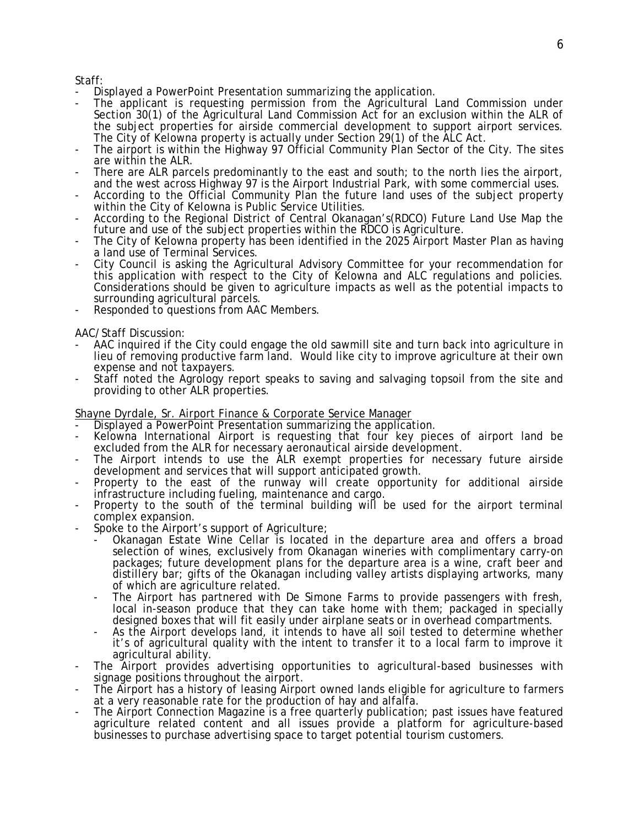Staff:

- Displayed a PowerPoint Presentation summarizing the application.
- The applicant is requesting permission from the Agricultural Land Commission under Section 30(1) of the Agricultural Land Commission Act for an exclusion within the ALR of the subject properties for airside commercial development to support airport services. The City of Kelowna property is actually under Section 29(1) of the ALC Act.
- The airport is within the Highway 97 Official Community Plan Sector of the City. The sites are within the ALR.
- There are ALR parcels predominantly to the east and south; to the north lies the airport, and the west across Highway 97 is the Airport Industrial Park, with some commercial uses.
- According to the Official Community Plan the future land uses of the subject property within the City of Kelowna is Public Service Utilities.
- According to the Regional District of Central Okanagan's(RDCO) Future Land Use Map the future and use of the subject properties within the RDCO is Agriculture.
- The City of Kelowna property has been identified in the 2025 Airport Master Plan as having a land use of Terminal Services.
- City Council is asking the Agricultural Advisory Committee for your recommendation for this application with respect to the City of Kelowna and ALC regulations and policies. Considerations should be given to agriculture impacts as well as the potential impacts to surrounding agricultural parcels.
- Responded to questions from AAC Members.

AAC/Staff Discussion:

- AAC inquired if the City could engage the old sawmill site and turn back into agriculture in lieu of removing productive farm land. Would like city to improve agriculture at their own expense and not taxpayers.
- Staff noted the Agrology report speaks to saving and salvaging topsoil from the site and providing to other ALR properties.

Shayne Dyrdale, Sr. Airport Finance & Corporate Service Manager

- Displayed a PowerPoint Presentation summarizing the application.
- Kelowna International Airport is requesting that four key pieces of airport land be excluded from the ALR for necessary aeronautical airside development.
- The Airport intends to use the ALR exempt properties for necessary future airside development and services that will support anticipated growth.
- Property to the east of the runway will create opportunity for additional airside infrastructure including fueling, maintenance and cargo.
- Property to the south of the terminal building will be used for the airport terminal complex expansion.
- Spoke to the Airport's support of Agriculture;
	- Okanagan Estate Wine Cellar is located in the departure area and offers a broad selection of wines, exclusively from Okanagan wineries with complimentary carry-on packages; future development plans for the departure area is a wine, craft beer and distillery bar; gifts of the Okanagan including valley artists displaying artworks, many of which are agriculture related.
	- The Airport has partnered with De Simone Farms to provide passengers with fresh, local in-season produce that they can take home with them; packaged in specially designed boxes that will fit easily under airplane seats or in overhead compartments.
	- As the Airport develops land, it intends to have all soil tested to determine whether it's of agricultural quality with the intent to transfer it to a local farm to improve it agricultural ability.
- The Airport provides advertising opportunities to agricultural-based businesses with signage positions throughout the airport.
- The Airport has a history of leasing Airport owned lands eligible for agriculture to farmers at a very reasonable rate for the production of hay and alfalfa.
- The Airport Connection Magazine is a free quarterly publication; past issues have featured agriculture related content and all issues provide a platform for agriculture-based businesses to purchase advertising space to target potential tourism customers.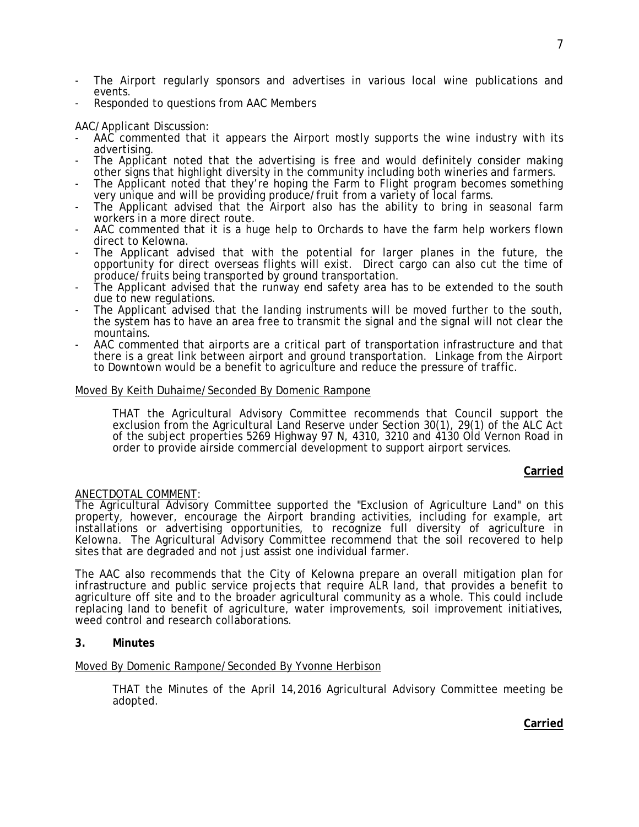- The Airport regularly sponsors and advertises in various local wine publications and events.
- Responded to questions from AAC Members

# AAC/Applicant Discussion:

- AAC commented that it appears the Airport mostly supports the wine industry with its advertising.
- The Applicant noted that the advertising is free and would definitely consider making other signs that highlight diversity in the community including both wineries and farmers.
- The Applicant noted that they're hoping the Farm to Flight program becomes something very unique and will be providing produce/fruit from a variety of local farms.
- The Applicant advised that the Airport also has the ability to bring in seasonal farm workers in a more direct route.
- AAC commented that it is a huge help to Orchards to have the farm help workers flown direct to Kelowna.
- The Applicant advised that with the potential for larger planes in the future, the opportunity for direct overseas flights will exist. Direct cargo can also cut the time of produce/fruits being transported by ground transportation.
- The Applicant advised that the runway end safety area has to be extended to the south due to new regulations.
- The Applicant advised that the landing instruments will be moved further to the south, the system has to have an area free to transmit the signal and the signal will not clear the mountains.
- AAC commented that airports are a critical part of transportation infrastructure and that there is a great link between airport and ground transportation. Linkage from the Airport to Downtown would be a benefit to agriculture and reduce the pressure of traffic.

# Moved By Keith Duhaime/Seconded By Domenic Rampone

THAT the Agricultural Advisory Committee recommends that Council support the exclusion from the Agricultural Land Reserve under Section 30(1), 29(1) of the ALC Act of the subject properties 5269 Highway 97 N, 4310, 3210 and 4130 Old Vernon Road in order to provide airside commercial development to support airport services.

# **Carried**

# ANECTDOTAL COMMENT:

The Agricultural Advisory Committee supported the "Exclusion of Agriculture Land" on this property, however, encourage the Airport branding activities, including for example, art installations or advertising opportunities, to recognize full diversity of agriculture in Kelowna. The Agricultural Advisory Committee recommend that the soil recovered to help sites that are degraded and not just assist one individual farmer.

The AAC also recommends that the City of Kelowna prepare an overall mitigation plan for infrastructure and public service projects that require ALR land, that provides a benefit to agriculture off site and to the broader agricultural community as a whole. This could include replacing land to benefit of agriculture, water improvements, soil improvement initiatives, weed control and research collaborations.

# **3. Minutes**

# Moved By Domenic Rampone/Seconded By Yvonne Herbison

THAT the Minutes of the April 14,2016 Agricultural Advisory Committee meeting be adopted.

**Carried**